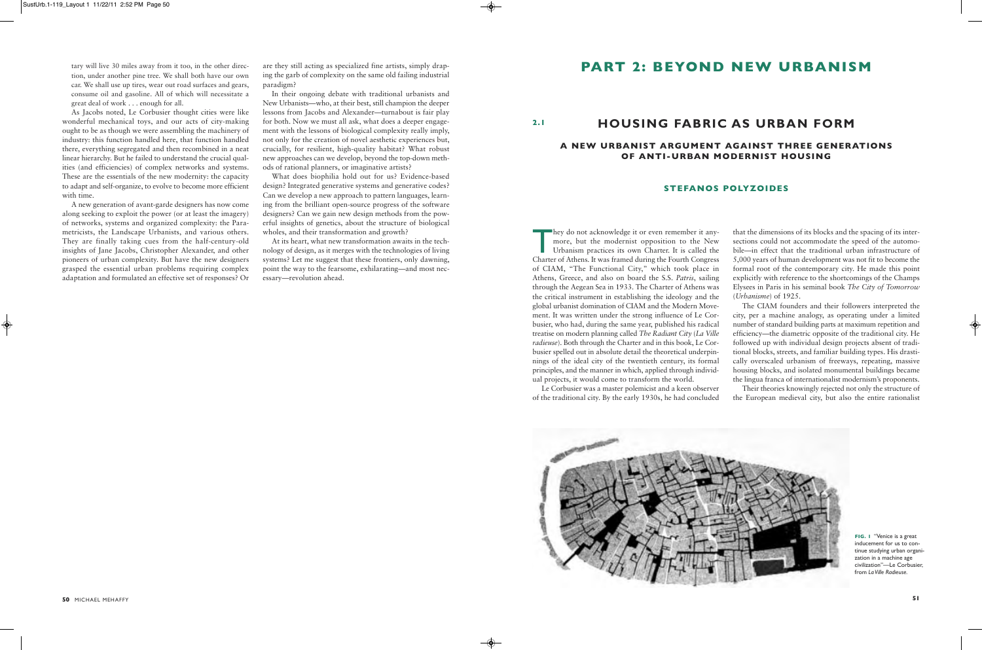# **PART 2: BEYOND NEW URBANISM**

**2.1**

## **HOUSING FABRIC AS URBAN FORM**

## **a new urban iSt argument aga inSt three generat ionS OF ANTI-URBAN MODERNIST HOUSING**

## **STEFANOS POLYZOIDES**

They do not acknowledge it or even remember it anymore, but the modernist opposition to the New Urbanism practices its own Charter. It is called the Charter of Athens. It was framed during the Fourth Congress of CIAM, "The Functional City," which took place in Athens, Greece, and also on board the S.S. *Patris*, sailing through the Aegean Sea in 1933. The Charter of Athens was the critical instrument in establishing the ideology and the global urbanist domination of CIAM and the Modern Movement. It was written under the strong influence of Le Corbusier, who had, during the same year, published his radical treatise on modern planning called *The Radiant City* (*La Ville radieuse*). Both through the Charter and in this book, Le Corbusier spelled out in absolute detail the theoretical underpinnings of the ideal city of the twentieth century, its formal principles, and the manner in which, applied through individual projects, it would come to transform the world.

Le Corbusier was a master polemicist and a keen observer of the traditional city. By the early 1930s, he had concluded that the dimensions of its blocks and the spacing of its intersections could not accommodate the speed of the automobile—in effect that the traditional urban infrastructure of 5,000 years of human development was not fit to become the formal root of the contemporary city. He made this point explicitly with reference to the shortcomings of the Champs Elysees in Paris in his seminal book *The City of Tomorrow* (*Urbanisme*) of 1925.

The CIAM founders and their followers interpreted the city, per a machine analogy, as operating under a limited number of standard building parts at maximum repetition and efficiency—the diametric opposite of the traditional city. He followed up with individual design projects absent of traditional blocks, streets, and familiar building types. His drastically overscaled urbanism of freeways, repeating, massive housing blocks, and isolated monumental buildings became the lingua franca of internationalist modernism's proponents.

Their theories knowingly rejected not only the structure of the European medieval city, but also the entire rationalist



**fig. 1** "Venice is a great inducement for us to continue studying urban organization in a machine age civilization"—le Corbusier, from *La Ville Radieuse.*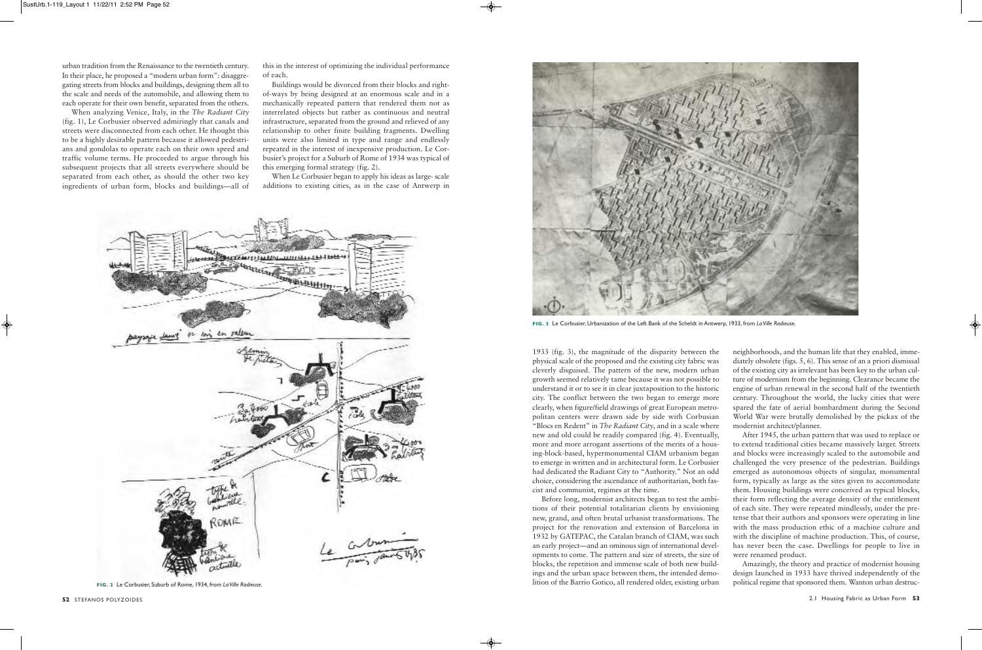1933 (fig. 3), the magnitude of the disparity between the physical scale of the proposed and the existing city fabric was cleverly disguised. The pattern of the new, modern urban growth seemed relatively tame because it was not possible to understand it or to see it in clear juxtaposition to the historic city. The conflict between the two began to emerge more clearly, when figure/field drawings of great European metropolitan centers were drawn side by side with Corbusian "Blocs en Redent" in *The Radiant City*, and in a scale where new and old could be readily compared (fig. 4). Eventually, more and more arrogant assertions of the merits of a housing-block-based, hypermonumental CIAM urbanism began to emerge in written and in architectural form. Le Corbusier had dedicated the Radiant City to "Authority." Not an odd choice, considering the ascendance of authoritarian, both fasneighborhoods, and the human life that they enabled, immediately obsolete (figs. 5, 6). This sense of an a priori dismissal of the existing city as irrelevant has been key to the urban culture of modernism from the beginning. Clearance became the engine of urban renewal in the second half of the twentieth century. Throughout the world, the lucky cities that were spared the fate of aerial bombardment during the Second World War were brutally demolished by the pickax of the modernist architect/planner. After 1945, the urban pattern that was used to replace or

cist and communist, regimes at the time. Before long, modernist architects began to test the ambitions of their potential totalitarian clients by envisioning new, grand, and often brutal urbanist transformations. The project for the renovation and extension of Barcelona in 1932 by GATEPAC, the Catalan branch of CIAM, was such an early project—and an ominous sign of international developments to come. The pattern and size of streets, the size of blocks, the repetition and immense scale of both new buildings and the urban space between them, the intended demolition of the Barrio Gotico, all rendered older, existing urban to extend traditional cities became massively larger. Streets and blocks were increasingly scaled to the automobile and challenged the very presence of the pedestrian. Buildings emerged as autonomous objects of singular, monumental form, typically as large as the sites given to accommodate them. Housing buildings were conceived as typical blocks, their form reflecting the average density of the entitlement of each site. They were repeated mindlessly, under the pretense that their authors and sponsors were operating in line with the mass production ethic of a machine culture and with the discipline of machine production. This, of course, has never been the case. Dwellings for people to live in were renamed product. Amazingly, the theory and practice of modernist housing design launched in 1933 have thrived independently of the political regime that sponsored them. Wanton urban destruc-

**52** STEFANOS POLYZOIDES **1.1 Housing Fabric as Urban Form 53** 

urban tradition from the Renaissance to the twentieth century. In their place, he proposed a "modern urban form": disaggregating streets from blocks and buildings, designing them all to the scale and needs of the automobile, and allowing them to each operate for their own benefit, separated from the others.

When analyzing Venice, Italy, in the *The Radiant City* (fig. 1), Le Corbusier observed admiringly that canals and streets were disconnected from each other. He thought this to be a highly desirable pattern because it allowed pedestrians and gondolas to operate each on their own speed and traffic volume terms. He proceeded to argue through his subsequent projects that all streets everywhere should be separated from each other, as should the other two key ingredients of urban form, blocks and buildings—all of this in the interest of optimizing the individual performance of each.

Buildings would be divorced from their blocks and rightof-ways by being designed at an enormous scale and in a mechanically repeated pattern that rendered them not as interrelated objects but rather as continuous and neutral infrastructure, separated from the ground and relieved of any relationship to other finite building fragments. Dwelling units were also limited in type and range and endlessly repeated in the interest of inexpensive production. Le Corbusier's project for a Suburb of Rome of 1934 was typical of this emerging formal strategy (fig. 2).

When Le Corbusier began to apply his ideas as large- scale additions to existing cities, as in the case of Antwerp in



**FIG. 2** Le Corbusier, Suburb of Rome, 1934, from *La Ville Radieuse*.



**fig. 3** le Corbusier, urbanization of the left Bank of the scheldt in antwerp, 1933, from *La Ville Radieuse*.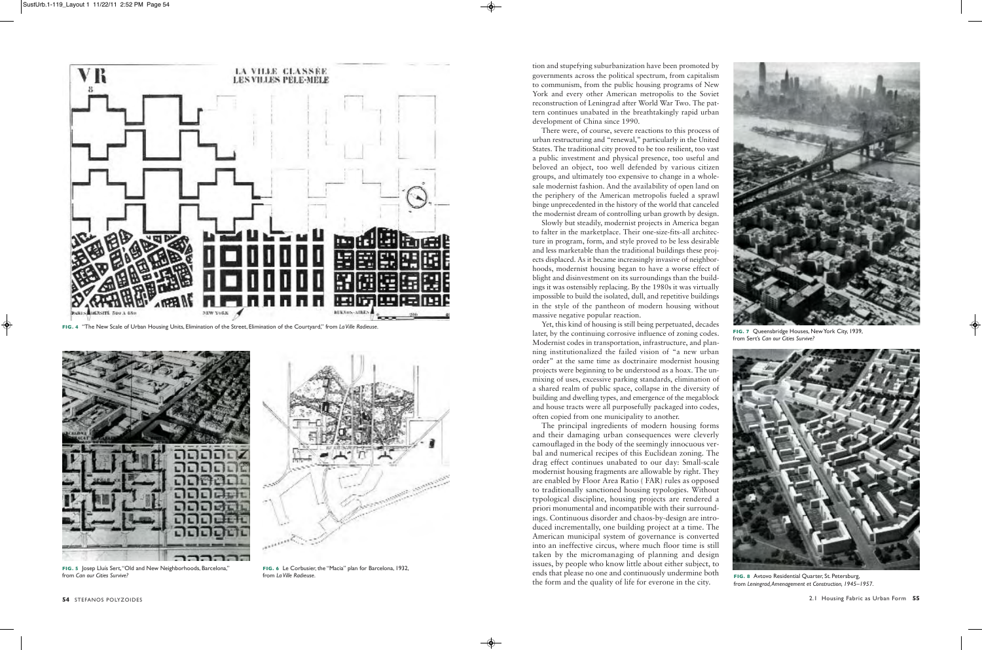tion and stupefying suburbanization have been promoted by governments across the political spectrum, from capitalism to communism, from the public housing programs of New York and every other American metropolis to the Soviet reconstruction of Leningrad after World War Two. The pattern continues unabated in the breathtakingly rapid urban development of China since 1990.

There were, of course, severe reactions to this process of urban restructuring and "renewal," particularly in the United States. The traditional city proved to be too resilient, too vast a public investment and physical presence, too useful and beloved an object, too well defended by various citizen groups, and ultimately too expensive to change in a wholesale modernist fashion. And the availability of open land on the periphery of the American metropolis fueled a sprawl binge unprecedented in the history of the world that canceled the modernist dream of controlling urban growth by design.

Slowly but steadily, modernist projects in America began to falter in the marketplace. Their one-size-fits-all architecture in program, form, and style proved to be less desirable and less marketable than the traditional buildings these projects displaced. As it became increasingly invasive of neighborhoods, modernist housing began to have a worse effect of blight and disinvestment on its surroundings than the buildings it was ostensibly replacing. By the 1980s it was virtually impossible to build the isolated, dull, and repetitive buildings in the style of the pantheon of modern housing without massive negative popular reaction.



**FIG. 8** Avtovo Residential Quarter, St. Petersburg, from *Leningrad, Amenagement et Construction, 1945–1957*.



**FIG. 7** Queensbridge Houses, New York City, 1939, from sert's *Can our Cities Survive?*



**FIG. 5** Josep Lluís Sert, "Old and New Neighborhoods, Barcelona," from *Can our Cities Survive?*

Yet, this kind of housing is still being perpetuated, decades often copied from one municipality to another.

later, by the continuing corrosive influence of zoning codes. Modernist codes in transportation, infrastructure, and planning institutionalized the failed vision of "a new urban order" at the same time as doctrinaire modernist housing projects were beginning to be understood as a hoax. The unmixing of uses, excessive parking standards, elimination of a shared realm of public space, collapse in the diversity of building and dwelling types, and emergence of the megablock and house tracts were all purposefully packaged into codes, The principal ingredients of modern housing forms and their damaging urban consequences were cleverly camouflaged in the body of the seemingly innocuous verbal and numerical recipes of this Euclidean zoning. The drag effect continues unabated to our day: Small-scale modernist housing fragments are allowable by right. They are enabled by Floor Area Ratio ( FAR) rules as opposed to traditionally sanctioned housing typologies. Without typological discipline, housing projects are rendered a priori monumental and incompatible with their surroundings. Continuous disorder and chaos-by-design are introduced incrementally, one building project at a time. The American municipal system of governance is converted into an ineffective circus, where much floor time is still taken by the micromanaging of planning and design issues, by people who know little about either subject, to ends that please no one and continuously undermine both the form and the quality of life for everone in the city.



**fig. 4** "The new scale of urban Housing units, elimination of the street, elimination of the Courtyard," from *La Ville Radieuse.*



**fig. 6** le Corbusier, the "macia" plan for Barcelona, 1932, from *La Ville Radieuse.*